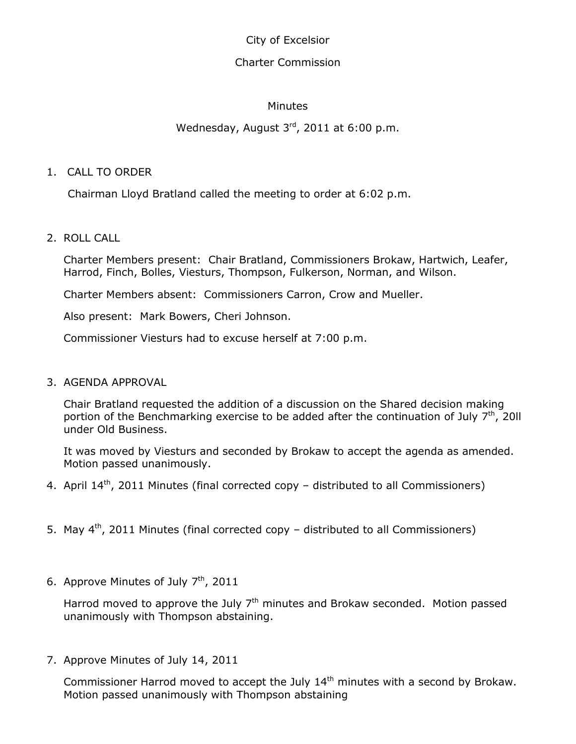City of Excelsior

## Charter Commission

## **Minutes**

# Wednesday, August 3rd, 2011 at 6:00 p.m.

## 1. CALL TO ORDER

Chairman Lloyd Bratland called the meeting to order at 6:02 p.m.

## 2. ROLL CALL

Charter Members present: Chair Bratland, Commissioners Brokaw, Hartwich, Leafer, Harrod, Finch, Bolles, Viesturs, Thompson, Fulkerson, Norman, and Wilson.

Charter Members absent: Commissioners Carron, Crow and Mueller.

Also present: Mark Bowers, Cheri Johnson.

Commissioner Viesturs had to excuse herself at 7:00 p.m.

#### 3. AGENDA APPROVAL

Chair Bratland requested the addition of a discussion on the Shared decision making portion of the Benchmarking exercise to be added after the continuation of July  $7<sup>th</sup>$ , 2011 under Old Business.

It was moved by Viesturs and seconded by Brokaw to accept the agenda as amended. Motion passed unanimously.

- 4. April 14<sup>th</sup>, 2011 Minutes (final corrected copy distributed to all Commissioners)
- 5. May 4<sup>th</sup>, 2011 Minutes (final corrected copy distributed to all Commissioners)
- 6. Approve Minutes of July  $7<sup>th</sup>$ , 2011

Harrod moved to approve the July  $7<sup>th</sup>$  minutes and Brokaw seconded. Motion passed unanimously with Thompson abstaining.

7. Approve Minutes of July 14, 2011

Commissioner Harrod moved to accept the July 14<sup>th</sup> minutes with a second by Brokaw. Motion passed unanimously with Thompson abstaining